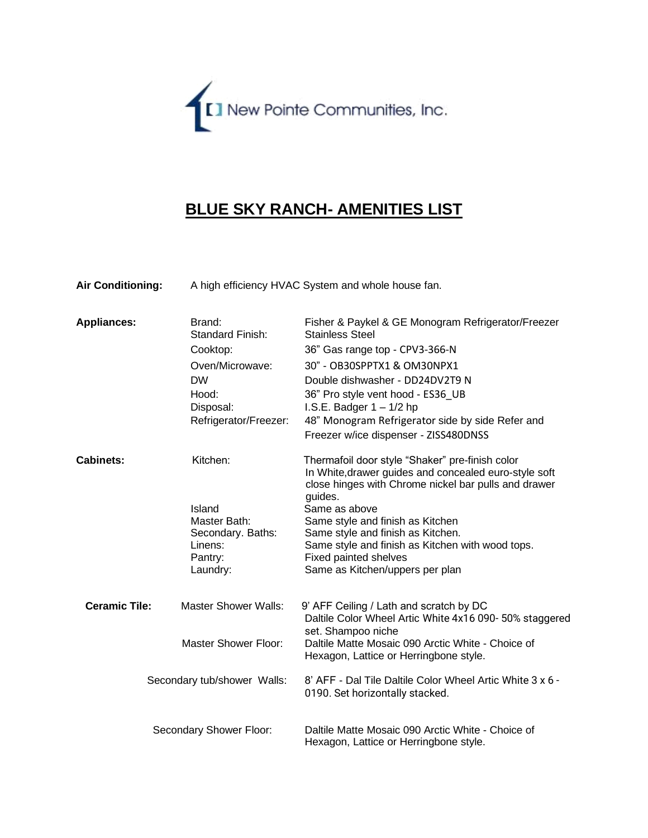

## **BLUE SKY RANCH- AMENITIES LIST**

| <b>Air Conditioning:</b> | A high efficiency HVAC System and whole house fan. |
|--------------------------|----------------------------------------------------|
|--------------------------|----------------------------------------------------|

| <b>Appliances:</b>   | Brand:<br>Standard Finish:  | Fisher & Paykel & GE Monogram Refrigerator/Freezer<br><b>Stainless Steel</b>                             |
|----------------------|-----------------------------|----------------------------------------------------------------------------------------------------------|
|                      | Cooktop:                    | 36" Gas range top - CPV3-366-N                                                                           |
|                      | Oven/Microwave:             | 30" - OB30SPPTX1 & OM30NPX1                                                                              |
|                      | <b>DW</b>                   | Double dishwasher - DD24DV2T9 N                                                                          |
|                      | Hood:                       | 36" Pro style vent hood - ES36_UB                                                                        |
|                      | Disposal:                   | I.S.E. Badger $1 - 1/2$ hp                                                                               |
|                      | Refrigerator/Freezer:       | 48" Monogram Refrigerator side by side Refer and                                                         |
|                      |                             | Freezer w/ice dispenser - ZISS480DNSS                                                                    |
| <b>Cabinets:</b>     | Kitchen:                    | Thermafoil door style "Shaker" pre-finish color<br>In White, drawer guides and concealed euro-style soft |
|                      |                             | close hinges with Chrome nickel bar pulls and drawer                                                     |
|                      | Island                      | guides.<br>Same as above                                                                                 |
|                      | Master Bath:                | Same style and finish as Kitchen                                                                         |
|                      | Secondary. Baths:           | Same style and finish as Kitchen.                                                                        |
|                      | Linens:                     | Same style and finish as Kitchen with wood tops.                                                         |
|                      | Pantry:                     | <b>Fixed painted shelves</b>                                                                             |
|                      | Laundry:                    | Same as Kitchen/uppers per plan                                                                          |
| <b>Ceramic Tile:</b> | <b>Master Shower Walls:</b> | 9' AFF Ceiling / Lath and scratch by DC                                                                  |
|                      |                             | Daltile Color Wheel Artic White 4x16 090-50% staggered                                                   |
|                      |                             | set. Shampoo niche                                                                                       |
|                      | <b>Master Shower Floor:</b> | Daltile Matte Mosaic 090 Arctic White - Choice of                                                        |
|                      |                             | Hexagon, Lattice or Herringbone style.                                                                   |
|                      | Secondary tub/shower Walls: | 8' AFF - Dal Tile Daltile Color Wheel Artic White 3 x 6 -<br>0190. Set horizontally stacked.             |
|                      | Secondary Shower Floor:     | Daltile Matte Mosaic 090 Arctic White - Choice of<br>Hexagon, Lattice or Herringbone style.              |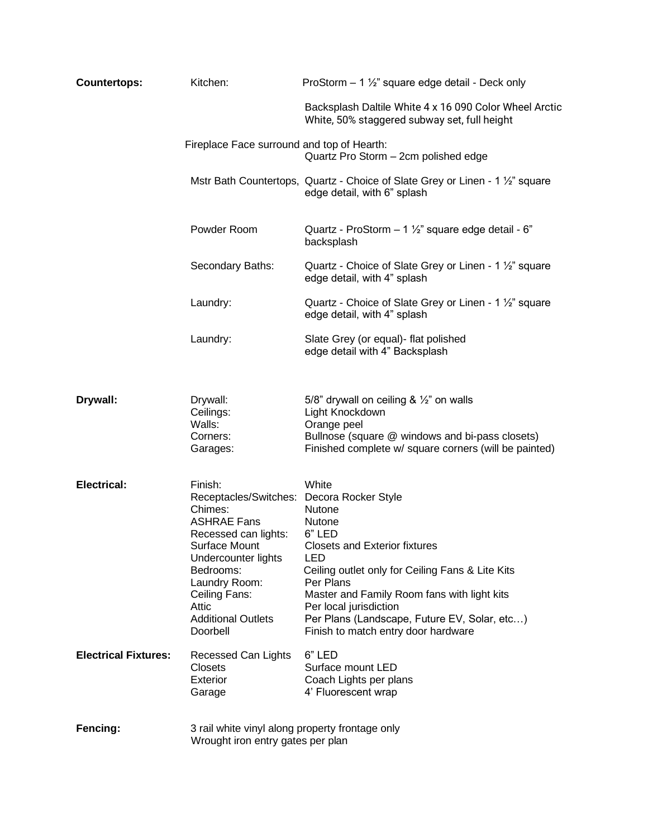| <b>Countertops:</b>         | Kitchen:                                                                                                                                                                                                                                               | ProStorm $-1\frac{1}{2}$ " square edge detail - Deck only                                                                                                                                                                                                                                                                  |
|-----------------------------|--------------------------------------------------------------------------------------------------------------------------------------------------------------------------------------------------------------------------------------------------------|----------------------------------------------------------------------------------------------------------------------------------------------------------------------------------------------------------------------------------------------------------------------------------------------------------------------------|
|                             |                                                                                                                                                                                                                                                        | Backsplash Daltile White 4 x 16 090 Color Wheel Arctic<br>White, 50% staggered subway set, full height                                                                                                                                                                                                                     |
|                             | Fireplace Face surround and top of Hearth:                                                                                                                                                                                                             | Quartz Pro Storm - 2cm polished edge                                                                                                                                                                                                                                                                                       |
|                             |                                                                                                                                                                                                                                                        | Mstr Bath Countertops, Quartz - Choice of Slate Grey or Linen - 1 1/2" square<br>edge detail, with 6" splash                                                                                                                                                                                                               |
|                             | Powder Room                                                                                                                                                                                                                                            | Quartz - ProStorm $-1\frac{1}{2}$ " square edge detail - 6"<br>backsplash                                                                                                                                                                                                                                                  |
|                             | Secondary Baths:                                                                                                                                                                                                                                       | Quartz - Choice of Slate Grey or Linen - 1 1/2" square<br>edge detail, with 4" splash                                                                                                                                                                                                                                      |
|                             | Laundry:                                                                                                                                                                                                                                               | Quartz - Choice of Slate Grey or Linen - 1 1/2" square<br>edge detail, with 4" splash                                                                                                                                                                                                                                      |
|                             | Laundry:                                                                                                                                                                                                                                               | Slate Grey (or equal)- flat polished<br>edge detail with 4" Backsplash                                                                                                                                                                                                                                                     |
| Drywall:                    | Drywall:<br>Ceilings:<br>Walls:<br>Corners:<br>Garages:                                                                                                                                                                                                | 5/8" drywall on ceiling & 1/2" on walls<br>Light Knockdown<br>Orange peel<br>Bullnose (square @ windows and bi-pass closets)<br>Finished complete w/ square corners (will be painted)                                                                                                                                      |
| <b>Electrical:</b>          | Finish:<br>Receptacles/Switches: Decora Rocker Style<br>Chimes:<br><b>ASHRAE Fans</b><br>Recessed can lights:<br>Surface Mount<br>Undercounter lights<br>Bedrooms:<br>Laundry Room:<br>Ceiling Fans:<br>Attic<br><b>Additional Outlets</b><br>Doorbell | White<br>Nutone<br><b>Nutone</b><br>6" LED<br><b>Closets and Exterior fixtures</b><br>LED<br>Ceiling outlet only for Ceiling Fans & Lite Kits<br>Per Plans<br>Master and Family Room fans with light kits<br>Per local jurisdiction<br>Per Plans (Landscape, Future EV, Solar, etc)<br>Finish to match entry door hardware |
| <b>Electrical Fixtures:</b> | Recessed Can Lights<br><b>Closets</b><br>Exterior<br>Garage                                                                                                                                                                                            | 6" LED<br>Surface mount LED<br>Coach Lights per plans<br>4' Fluorescent wrap                                                                                                                                                                                                                                               |
| Fencing:                    | 3 rail white vinyl along property frontage only<br>Wrought iron entry gates per plan                                                                                                                                                                   |                                                                                                                                                                                                                                                                                                                            |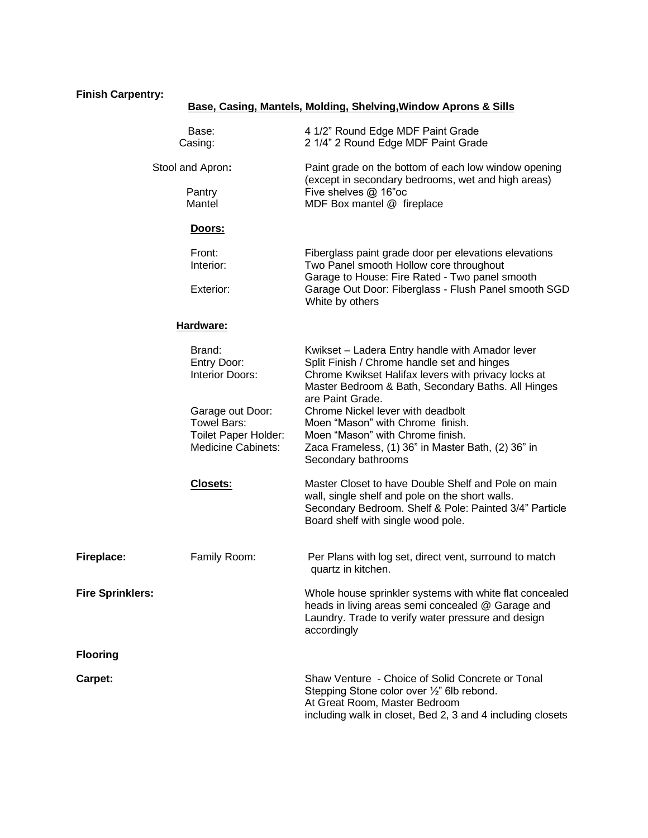## **Finish Carpentry:**

## **Base, Casing, Mantels, Molding, Shelving,Window Aprons & Sills**

|                                      | Base:<br>Casing:                                                                            | 4 1/2" Round Edge MDF Paint Grade<br>2 1/4" 2 Round Edge MDF Paint Grade                                                                                                                                                        |  |
|--------------------------------------|---------------------------------------------------------------------------------------------|---------------------------------------------------------------------------------------------------------------------------------------------------------------------------------------------------------------------------------|--|
| Stool and Apron:<br>Pantry<br>Mantel |                                                                                             | Paint grade on the bottom of each low window opening<br>(except in secondary bedrooms, wet and high areas)<br>Five shelves @ 16"oc<br>MDF Box mantel @ fireplace                                                                |  |
|                                      |                                                                                             |                                                                                                                                                                                                                                 |  |
|                                      | Front:<br>Interior:                                                                         | Fiberglass paint grade door per elevations elevations<br>Two Panel smooth Hollow core throughout<br>Garage to House: Fire Rated - Two panel smooth                                                                              |  |
| Exterior:                            |                                                                                             | Garage Out Door: Fiberglass - Flush Panel smooth SGD<br>White by others                                                                                                                                                         |  |
|                                      | Hardware:                                                                                   |                                                                                                                                                                                                                                 |  |
|                                      | Brand:<br>Entry Door:<br>Interior Doors:                                                    | Kwikset - Ladera Entry handle with Amador lever<br>Split Finish / Chrome handle set and hinges<br>Chrome Kwikset Halifax levers with privacy locks at<br>Master Bedroom & Bath, Secondary Baths. All Hinges<br>are Paint Grade. |  |
|                                      | Garage out Door:<br>Towel Bars:<br><b>Toilet Paper Holder:</b><br><b>Medicine Cabinets:</b> | Chrome Nickel lever with deadbolt<br>Moen "Mason" with Chrome finish.<br>Moen "Mason" with Chrome finish.<br>Zaca Frameless, (1) 36" in Master Bath, (2) 36" in<br>Secondary bathrooms                                          |  |
|                                      | Closets:                                                                                    | Master Closet to have Double Shelf and Pole on main<br>wall, single shelf and pole on the short walls.<br>Secondary Bedroom. Shelf & Pole: Painted 3/4" Particle<br>Board shelf with single wood pole.                          |  |
| Fireplace:                           | Family Room:                                                                                | Per Plans with log set, direct vent, surround to match<br>quartz in kitchen.                                                                                                                                                    |  |
| <b>Fire Sprinklers:</b>              |                                                                                             | Whole house sprinkler systems with white flat concealed<br>heads in living areas semi concealed @ Garage and<br>Laundry. Trade to verify water pressure and design<br>accordingly                                               |  |
| <b>Flooring</b>                      |                                                                                             |                                                                                                                                                                                                                                 |  |
| Carpet:                              |                                                                                             | Shaw Venture - Choice of Solid Concrete or Tonal<br>Stepping Stone color over 1/2" 6lb rebond.<br>At Great Room, Master Bedroom<br>including walk in closet, Bed 2, 3 and 4 including closets                                   |  |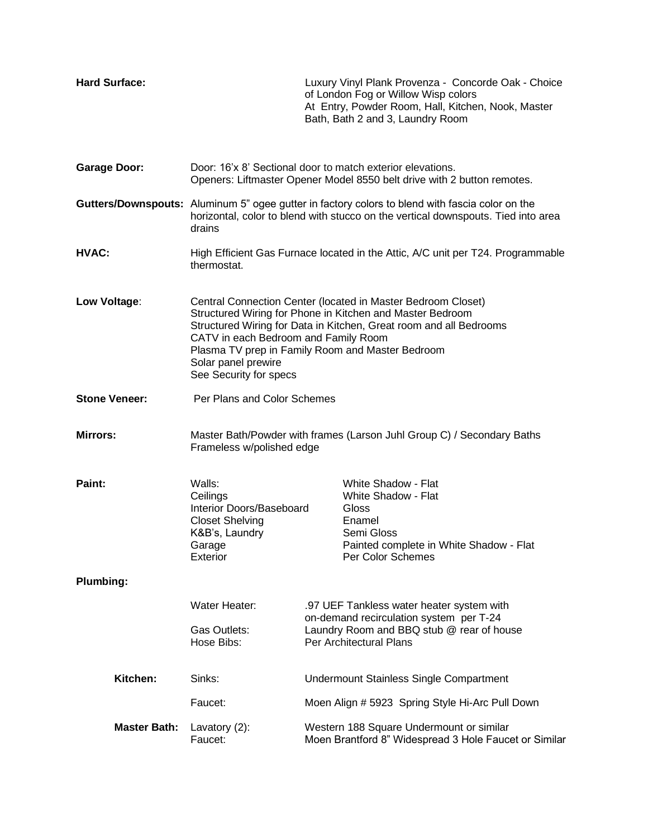| <b>Hard Surface:</b> |                                                                                                                                                                                                                                                                                                                                              |                                                                                                                 | Luxury Vinyl Plank Provenza - Concorde Oak - Choice<br>of London Fog or Willow Wisp colors<br>At Entry, Powder Room, Hall, Kitchen, Nook, Master<br>Bath, Bath 2 and 3, Laundry Room |
|----------------------|----------------------------------------------------------------------------------------------------------------------------------------------------------------------------------------------------------------------------------------------------------------------------------------------------------------------------------------------|-----------------------------------------------------------------------------------------------------------------|--------------------------------------------------------------------------------------------------------------------------------------------------------------------------------------|
| <b>Garage Door:</b>  | Door: 16'x 8' Sectional door to match exterior elevations.<br>Openers: Liftmaster Opener Model 8550 belt drive with 2 button remotes.                                                                                                                                                                                                        |                                                                                                                 |                                                                                                                                                                                      |
|                      | Gutters/Downspouts: Aluminum 5" ogee gutter in factory colors to blend with fascia color on the<br>horizontal, color to blend with stucco on the vertical downspouts. Tied into area<br>drains                                                                                                                                               |                                                                                                                 |                                                                                                                                                                                      |
| HVAC:                | High Efficient Gas Furnace located in the Attic, A/C unit per T24. Programmable<br>thermostat.                                                                                                                                                                                                                                               |                                                                                                                 |                                                                                                                                                                                      |
| Low Voltage:         | Central Connection Center (located in Master Bedroom Closet)<br>Structured Wiring for Phone in Kitchen and Master Bedroom<br>Structured Wiring for Data in Kitchen, Great room and all Bedrooms<br>CATV in each Bedroom and Family Room<br>Plasma TV prep in Family Room and Master Bedroom<br>Solar panel prewire<br>See Security for specs |                                                                                                                 |                                                                                                                                                                                      |
| <b>Stone Veneer:</b> | Per Plans and Color Schemes                                                                                                                                                                                                                                                                                                                  |                                                                                                                 |                                                                                                                                                                                      |
| <b>Mirrors:</b>      | Frameless w/polished edge                                                                                                                                                                                                                                                                                                                    |                                                                                                                 | Master Bath/Powder with frames (Larson Juhl Group C) / Secondary Baths                                                                                                               |
| Paint:               | Walls:<br>Ceilings<br>Interior Doors/Baseboard<br><b>Closet Shelving</b><br>K&B's, Laundry<br>Garage<br>Exterior                                                                                                                                                                                                                             |                                                                                                                 | White Shadow - Flat<br>White Shadow - Flat<br>Gloss<br>Enamel<br>Semi Gloss<br>Painted complete in White Shadow - Flat<br>Per Color Schemes                                          |
| <b>Plumbing:</b>     |                                                                                                                                                                                                                                                                                                                                              |                                                                                                                 |                                                                                                                                                                                      |
|                      | Water Heater:                                                                                                                                                                                                                                                                                                                                |                                                                                                                 | .97 UEF Tankless water heater system with                                                                                                                                            |
|                      | Gas Outlets:<br>Hose Bibs:                                                                                                                                                                                                                                                                                                                   | on-demand recirculation system per T-24<br>Laundry Room and BBQ stub @ rear of house<br>Per Architectural Plans |                                                                                                                                                                                      |
| Kitchen:             | Sinks:                                                                                                                                                                                                                                                                                                                                       |                                                                                                                 | <b>Undermount Stainless Single Compartment</b>                                                                                                                                       |
|                      | Faucet:                                                                                                                                                                                                                                                                                                                                      |                                                                                                                 | Moen Align # 5923 Spring Style Hi-Arc Pull Down                                                                                                                                      |
| <b>Master Bath:</b>  | Lavatory $(2)$ :<br>Faucet:                                                                                                                                                                                                                                                                                                                  |                                                                                                                 | Western 188 Square Undermount or similar<br>Moen Brantford 8" Widespread 3 Hole Faucet or Similar                                                                                    |